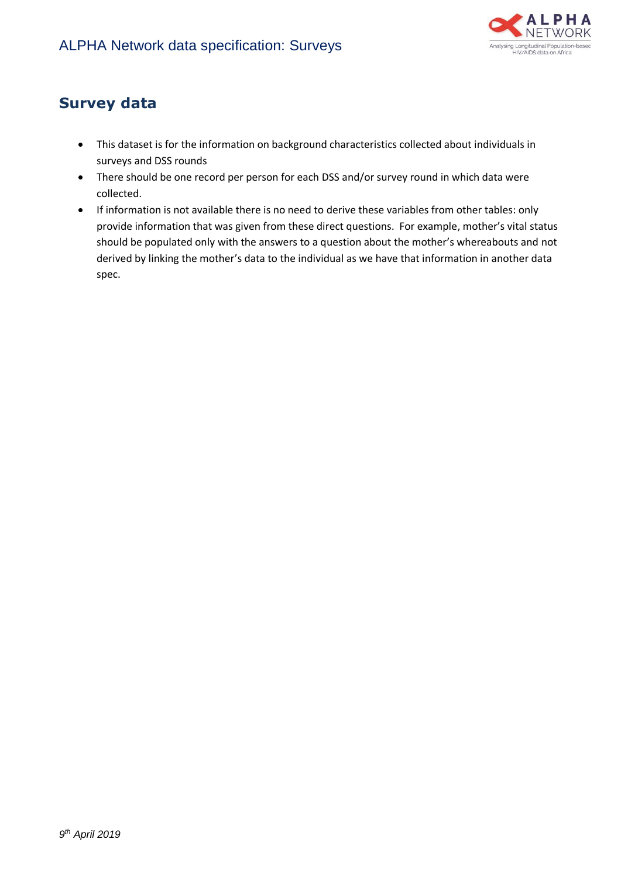

## **Survey data**

- This dataset is for the information on background characteristics collected about individuals in surveys and DSS rounds
- There should be one record per person for each DSS and/or survey round in which data were collected.
- If information is not available there is no need to derive these variables from other tables: only provide information that was given from these direct questions. For example, mother's vital status should be populated only with the answers to a question about the mother's whereabouts and not derived by linking the mother's data to the individual as we have that information in another data spec.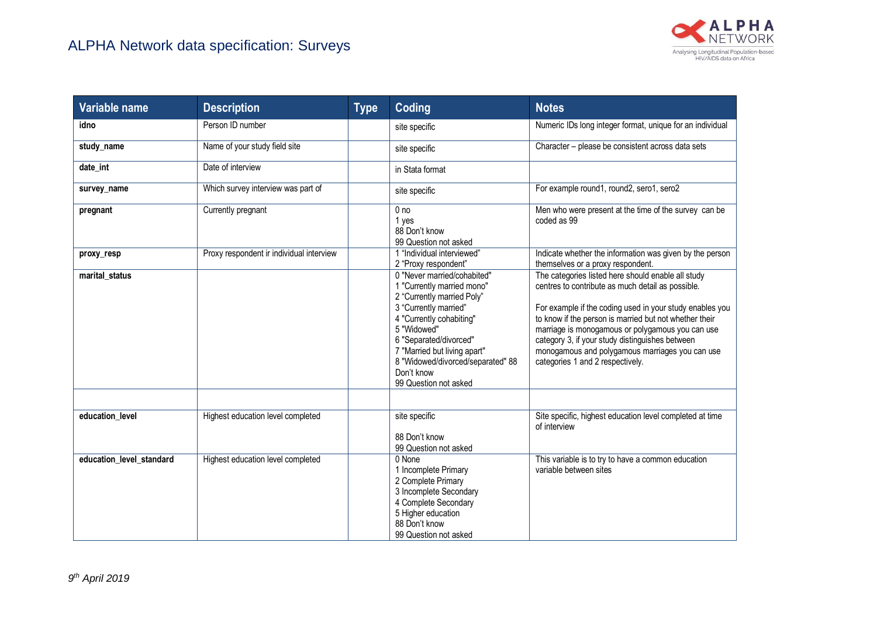

| Variable name            | <b>Description</b>                       | <b>Type</b> | Coding                                                                                                                                                                                                                                                                                            | <b>Notes</b>                                                                                                                                                                                                                                                                                                                                                                                                                |
|--------------------------|------------------------------------------|-------------|---------------------------------------------------------------------------------------------------------------------------------------------------------------------------------------------------------------------------------------------------------------------------------------------------|-----------------------------------------------------------------------------------------------------------------------------------------------------------------------------------------------------------------------------------------------------------------------------------------------------------------------------------------------------------------------------------------------------------------------------|
| idno                     | Person ID number                         |             | site specific                                                                                                                                                                                                                                                                                     | Numeric IDs long integer format, unique for an individual                                                                                                                                                                                                                                                                                                                                                                   |
| study_name               | Name of your study field site            |             | site specific                                                                                                                                                                                                                                                                                     | Character - please be consistent across data sets                                                                                                                                                                                                                                                                                                                                                                           |
| date int                 | Date of interview                        |             | in Stata format                                                                                                                                                                                                                                                                                   |                                                                                                                                                                                                                                                                                                                                                                                                                             |
| survey_name              | Which survey interview was part of       |             | site specific                                                                                                                                                                                                                                                                                     | For example round1, round2, sero1, sero2                                                                                                                                                                                                                                                                                                                                                                                    |
| pregnant                 | Currently pregnant                       |             | 0 <sub>no</sub><br>1 yes<br>88 Don't know<br>99 Question not asked                                                                                                                                                                                                                                | Men who were present at the time of the survey can be<br>coded as 99                                                                                                                                                                                                                                                                                                                                                        |
| proxy resp               | Proxy respondent ir individual interview |             | 1 "Individual interviewed"<br>2 "Proxy respondent"                                                                                                                                                                                                                                                | Indicate whether the information was given by the person<br>themselves or a proxy respondent.                                                                                                                                                                                                                                                                                                                               |
| marital status           |                                          |             | 0 "Never married/cohabited"<br>1 "Currently married mono"<br>2 "Currently married Poly"<br>3 "Currently married"<br>4 "Currently cohabiting"<br>5 "Widowed"<br>6 "Separated/divorced"<br>7 "Married but living apart"<br>8 "Widowed/divorced/separated" 88<br>Don't know<br>99 Question not asked | The categories listed here should enable all study<br>centres to contribute as much detail as possible.<br>For example if the coding used in your study enables you<br>to know if the person is married but not whether their<br>marriage is monogamous or polygamous you can use<br>category 3, if your study distinguishes between<br>monogamous and polygamous marriages you can use<br>categories 1 and 2 respectively. |
| education level          | Highest education level completed        |             | site specific<br>88 Don't know<br>99 Question not asked                                                                                                                                                                                                                                           | Site specific, highest education level completed at time<br>of interview                                                                                                                                                                                                                                                                                                                                                    |
| education level standard | Highest education level completed        |             | 0 None<br>1 Incomplete Primary<br>2 Complete Primary<br>3 Incomplete Secondary<br>4 Complete Secondary<br>5 Higher education<br>88 Don't know<br>99 Question not asked                                                                                                                            | This variable is to try to have a common education<br>variable between sites                                                                                                                                                                                                                                                                                                                                                |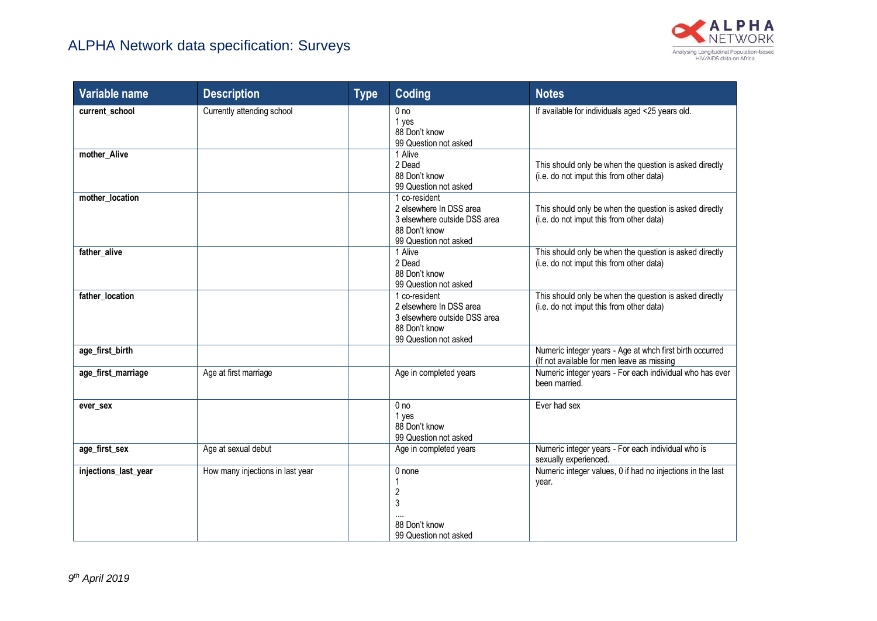

| Variable name        | <b>Description</b>               | <b>Type</b> | Coding                                                                                                             | <b>Notes</b>                                                                                           |
|----------------------|----------------------------------|-------------|--------------------------------------------------------------------------------------------------------------------|--------------------------------------------------------------------------------------------------------|
| current_school       | Currently attending school       |             | 0 <sub>no</sub><br>1 yes<br>88 Don't know<br>99 Question not asked                                                 | If available for individuals aged <25 years old.                                                       |
| mother_Alive         |                                  |             | 1 Alive<br>2 Dead<br>88 Don't know<br>99 Question not asked                                                        | This should only be when the question is asked directly<br>(i.e. do not imput this from other data)    |
| mother_location      |                                  |             | 1 co-resident<br>2 elsewhere In DSS area<br>3 elsewhere outside DSS area<br>88 Don't know<br>99 Question not asked | This should only be when the question is asked directly<br>(i.e. do not imput this from other data)    |
| father_alive         |                                  |             | 1 Alive<br>2 Dead<br>88 Don't know<br>99 Question not asked                                                        | This should only be when the question is asked directly<br>(i.e. do not imput this from other data)    |
| father_location      |                                  |             | 1 co-resident<br>2 elsewhere In DSS area<br>3 elsewhere outside DSS area<br>88 Don't know<br>99 Question not asked | This should only be when the question is asked directly<br>(i.e. do not imput this from other data)    |
| age_first_birth      |                                  |             |                                                                                                                    | Numeric integer years - Age at whch first birth occurred<br>(If not available for men leave as missing |
| age_first_marriage   | Age at first marriage            |             | Age in completed years                                                                                             | Numeric integer years - For each individual who has ever<br>been married.                              |
| ever sex             |                                  |             | 0 <sub>no</sub><br>1 yes<br>88 Don't know<br>99 Question not asked                                                 | Ever had sex                                                                                           |
| age_first_sex        | Age at sexual debut              |             | Age in completed years                                                                                             | Numeric integer years - For each individual who is<br>sexually experienced.                            |
| injections_last_year | How many injections in last year |             | 0 none<br>$\overline{2}$<br>3<br>88 Don't know<br>99 Question not asked                                            | Numeric integer values, 0 if had no injections in the last<br>year.                                    |